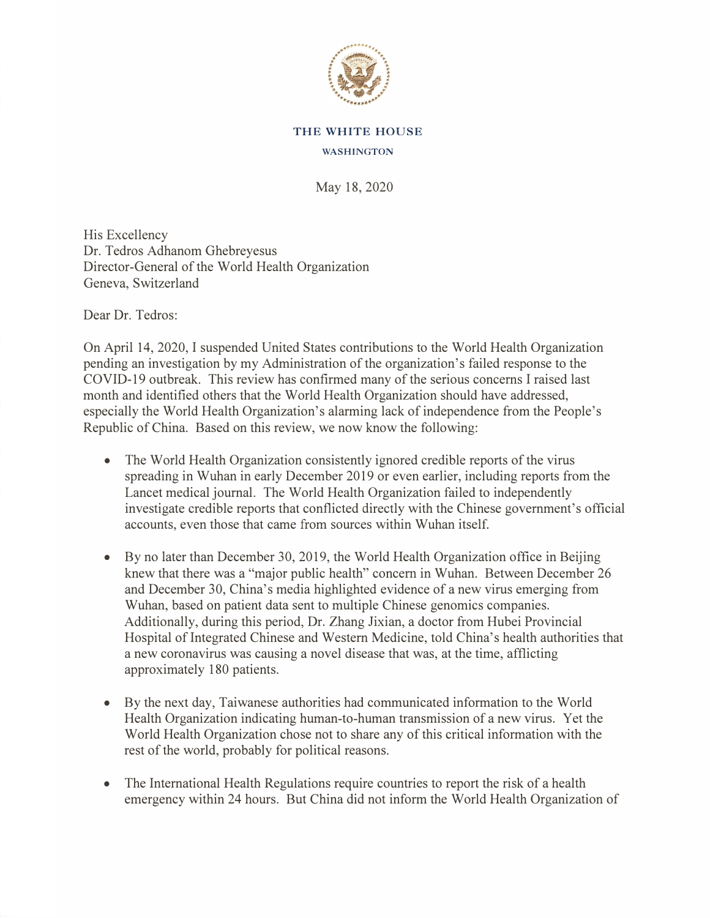

## **THE WHITE HOUSE**

## **WASHINGTON**

May 18, 2020

His Excellency Dr. Tedros Adhanom Ghebreyesus Director-General of the World Health Organization Geneva, Switzerland

Dear Dr. Tedros:

On April 14, 2020, I suspended United States contributions to the World Health Organization pending an investigation by my Administration of the organization's failed response to the COVID-19 outbreak. This review has confirmed many of the serious concerns I raised last month and identified others that the World Health Organization should have addressed, especially the World Health Organization's alarming lack of independence from the People's Republic of China. Based on this review, we now know the following:

- The World Health Organization consistently ignored credible reports of the virus spreading in Wuhan in early December 2019 or even earlier, including reports from the Lancet medical journal. The World Health Organization failed to independently investigate credible reports that conflicted directly with the Chinese government's official accounts, even those that came from sources within Wuhan itself.
- By no later than December 30, 2019, the World Health Organization office in Beijing knew that there was a "major public health" concern in Wuhan. Between December 26 and December 30, China's media highlighted evidence of a new virus emerging from Wuhan, based on patient data sent to multiple Chinese genomics companies. Additionally, during this period, Dr. Zhang Jixian, a doctor from Hubei Provincial Hospital of Integrated Chinese and Western Medicine, told China's health authorities that a new coronavirus was causing a novel disease that was, at the time, afflicting approximately 180 patients.
- By the next day, Taiwanese authorities had communicated information to the World Health Organization indicating human-to-human transmission of a new virus. Yet the World Health Organization chose not to share any of this critical information with the rest of the world, probably for political reasons.
- The International Health Regulations require countries to report the risk of a health emergency within 24 hours. But China did not inform the World Health Organization of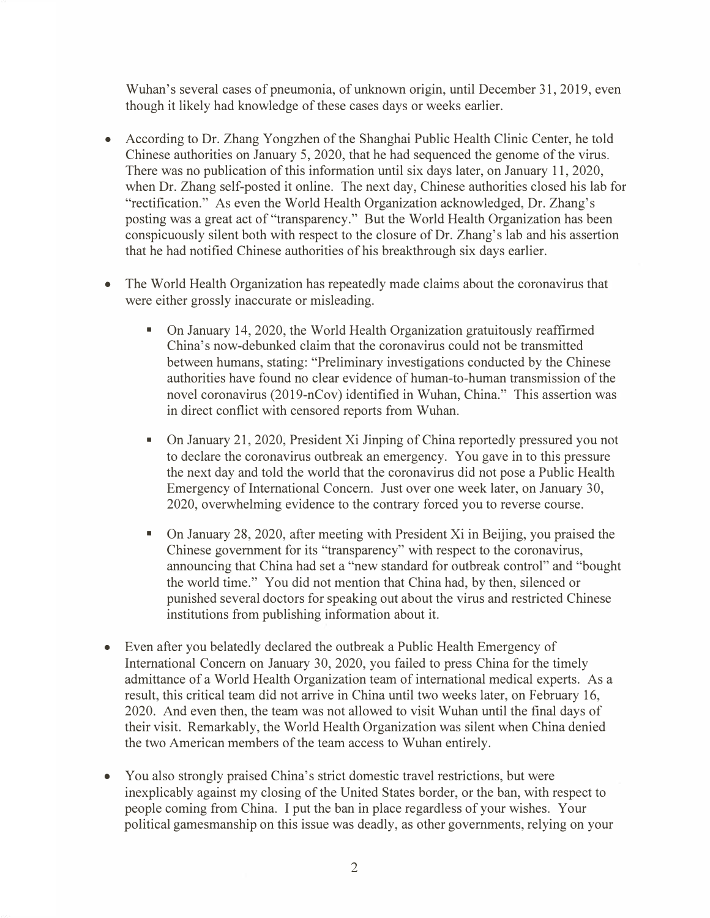Wuhan's several cases of pneumonia, of unknown origin, until December 31, 2019, even though it likely had knowledge of these cases days or weeks earlier.

- According to Dr. Zhang Yongzhen of the Shanghai Public Health Clinic Center, he told Chinese authorities on January 5, 2020, that he had sequenced the genome of the virus. There was no publication of this information until six days later, on January 11, 2020, when Dr. Zhang self-posted it online. The next day, Chinese authorities closed his lab for "rectification." As even the World Health Organization acknowledged, Dr. Zhang's posting was a great act of "transparency." But the World Health Organization has been conspicuously silent both with respect to the closure of Dr. Zhang's lab and his assertion that he had notified Chinese authorities of his breakthrough six days earlier.
- The World Health Organization has repeatedly made claims about the coronavirus that were either grossly inaccurate or misleading.
	- On January 14, 2020, the World Health Organization gratuitously reaffirmed China's now-debunked claim that the coronavirus could not be transmitted between humans, stating: "Preliminary investigations conducted by the Chinese authorities have found no clear evidence of human-to-human transmission of the novel coronavirus (2019-nCov) identified in Wuhan, China." This assertion was in direct conflict with censored reports from Wuhan.
	- On January 21, 2020, President Xi Jinping of China reportedly pressured you not to declare the coronavirus outbreak an emergency. You gave in to this pressure the next day and told the world that the coronavirus did not pose a Public Health Emergency of International Concern. Just over one week later, on January 30, 2020, overwhelming evidence to the contrary forced you to reverse course.
	- On January 28, 2020, after meeting with President Xi in Beijing, you praised the Chinese government for its "transparency" with respect to the coronavirus, announcing that China had set a "new standard for outbreak control" and "bought the world time." You did not mention that China had, by then, silenced or punished several doctors for speaking out about the virus and restricted Chinese institutions from publishing information about it.
- Even after you belatedly declared the outbreak a Public Health Emergency of International Concern on January 30, 2020, you failed to press China for the timely admittance of a World Health Organization team of international medical experts. As a result, this critical team did not arrive in China until two weeks later, on February 16, 2020. And even then, the team was not allowed to visit Wuhan until the final days of their visit. Remarkably, the World Health Organization was silent when China denied the two American members of the team access to Wuhan entirely.
- You also strongly praised China's strict domestic travel restrictions, but were inexplicably against my closing of the United States border, or the ban, with respect to people coming from China. I put the ban in place regardless of your wishes. Your political gamesmanship on this issue was deadly, as other governments, relying on your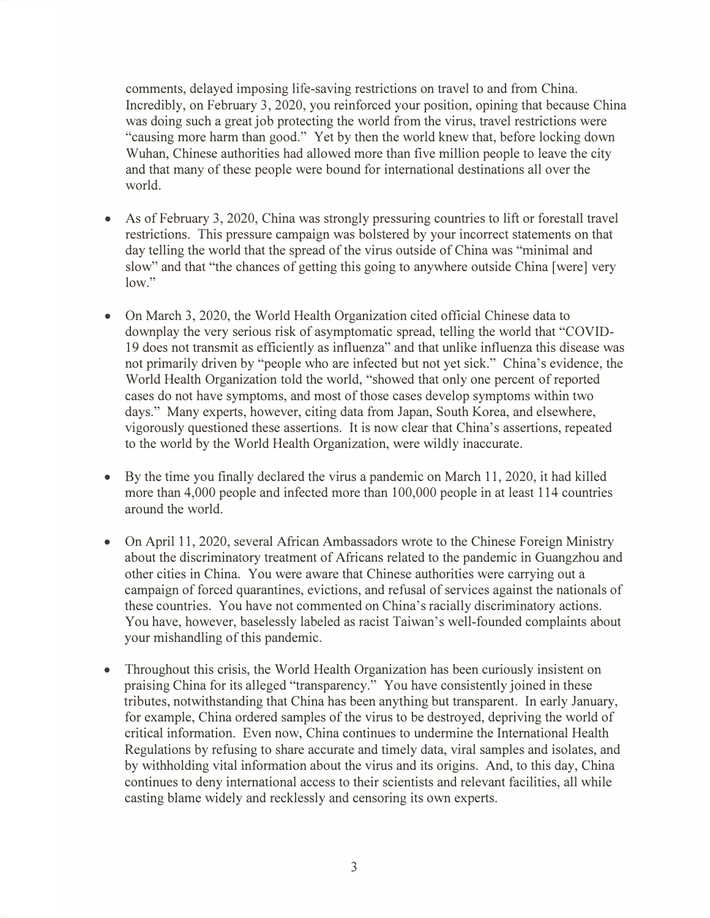comments, delayed imposing life-saving restrictions on travel to and from China. Incredibly, on February 3, 2020, you reinforced your position, opining that because China was doing such a great job protecting the world from the virus, travel restrictions were "causing more harm than good." Yet by then the world knew that, before locking down Wuhan, Chinese authorities had allowed more than five million people to leave the city and that many of these people were bound for international destinations all over the world.

- As of February 3, 2020, China was strongly pressuring countries to lift or forestall travel restrictions. This pressure campaign was bolstered by your incorrect statements on that day telling the world that the spread of the virus outside of China was "minimal and slow" and that "the chances of getting this going to anywhere outside China [were] very low."
- On March 3, 2020, the World Health Organization cited official Chinese data to downplay the very serious risk of asymptomatic spread, telling the world that "COVID-19 does not transmit as efficiently as influenza" and that unlike influenza this disease was not primarily driven by "people who are infected but not yet sick." China's evidence, the World Health Organization told the world, "showed that only one percent of reported cases do not have symptoms, and most of those cases develop symptoms within two days." Many experts, however, citing data from Japan, South Korea, and elsewhere, vigorously questioned these assertions. It is now clear that China's assertions, repeated to the world by the World Health Organization, were wildly inaccurate.
- By the time you finally declared the virus a pandemic on March 11, 2020, it had killed more than 4,000 people and infected more than 100,000 people in at least 114 countries around the world.
- On April 11, 2020, several African Ambassadors wrote to the Chinese Foreign Ministry about the discriminatory treatment of Africans related to the pandemic in Guangzhou and other cities in China. You were aware that Chinese authorities were carrying out a campaign of forced quarantines, evictions, and refusal of services against the nationals of these countries. You have not commented on China's racially discriminatory actions. You have, however, baselessly labeled as racist Taiwan's well-founded complaints about your mishandling of this pandemic.
- Throughout this crisis, the World Health Organization has been curiously insistent on praising China for its alleged "transparency." You have consistently joined in these tributes, notwithstanding that China has been anything but transparent. In early January, for example, China ordered samples of the virus to be destroyed, depriving the world of critical information. Even now, China continues to undermine the International Health Regulations by refusing to share accurate and timely data, viral samples and isolates, and by withholding vital information about the virus and its origins. And, to this day, China continues to deny international access to their scientists and relevant facilities, all while casting blame widely and recklessly and censoring its own experts.